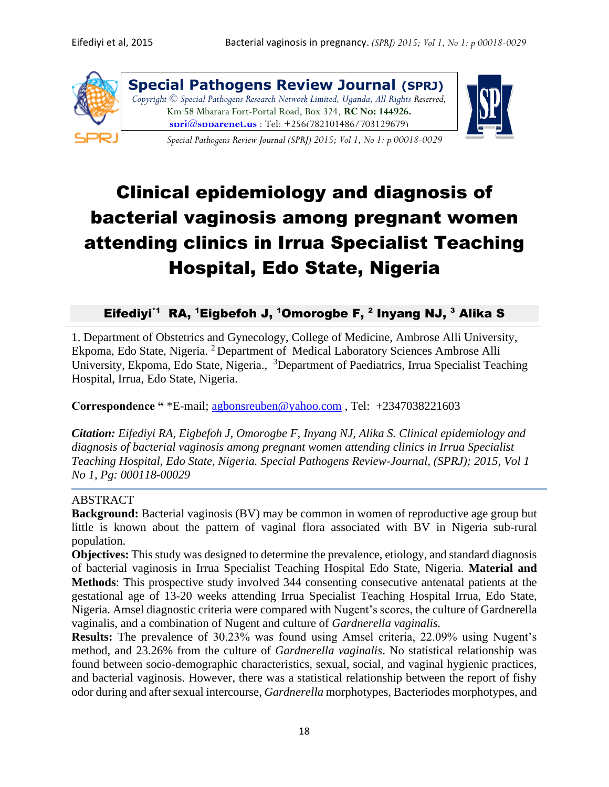

**Special Pathogens Review Journal (SPRJ)** *Copyright © Special Pathogens Research Network Limited, Uganda, All Rights Reserved,*  Km 58 Mbarara Fort-Portal Road, Box 324, **RC No: 144926. [sprj@spparenet.us](mailto:sprj@spparenet.us)** ; Tel: +256(782101486/703129679)

*Special Pathogens Review Journal (SPRJ) 2015; Vol 1, No 1: p 00018-0029* 



# Clinical epidemiology and diagnosis of bacterial vaginosis among pregnant women attending clinics in Irrua Specialist Teaching Hospital, Edo State, Nigeria

## Eifediyi<sup>\*1</sup> RA, <sup>1</sup>Eigbefoh J, <sup>1</sup>Omorogbe F, <sup>2</sup> Inyang NJ, <sup>3</sup> Alika S

1. Department of Obstetrics and Gynecology, College of Medicine, Ambrose Alli University, Ekpoma, Edo State, Nigeria. <sup>2</sup> Department of Medical Laboratory Sciences Ambrose Alli University, Ekpoma, Edo State, Nigeria., <sup>3</sup>Department of Paediatrics, Irrua Specialist Teaching Hospital, Irrua, Edo State, Nigeria.

**Correspondence "** \*E-mail; [agbonsreuben@yahoo.com](mailto:agbonsreuben@yahoo.com) , Tel: +2347038221603

*Citation: Eifediyi RA, Eigbefoh J, Omorogbe F, Inyang NJ, Alika S. Clinical epidemiology and diagnosis of bacterial vaginosis among pregnant women attending clinics in Irrua Specialist Teaching Hospital, Edo State, Nigeria. Special Pathogens Review-Journal, (SPRJ); 2015, Vol 1 No 1, Pg: 000118-00029*

## ABSTRACT

**Background:** Bacterial vaginosis (BV) may be common in women of reproductive age group but little is known about the pattern of vaginal flora associated with BV in Nigeria sub-rural population.

**Objectives:** This study was designed to determine the prevalence, etiology, and standard diagnosis of bacterial vaginosis in Irrua Specialist Teaching Hospital Edo State, Nigeria. **Material and Methods**: This prospective study involved 344 consenting consecutive antenatal patients at the gestational age of 13-20 weeks attending Irrua Specialist Teaching Hospital Irrua, Edo State, Nigeria. Amsel diagnostic criteria were compared with Nugent's scores, the culture of Gardnerella vaginalis, and a combination of Nugent and culture of *Gardnerella vaginalis.*

**Results:** The prevalence of 30.23% was found using Amsel criteria, 22.09% using Nugent's method, and 23.26% from the culture of *Gardnerella vaginalis*. No statistical relationship was found between socio-demographic characteristics, sexual, social, and vaginal hygienic practices, and bacterial vaginosis. However, there was a statistical relationship between the report of fishy odor during and after sexual intercourse, *Gardnerella* morphotypes, Bacteriodes morphotypes, and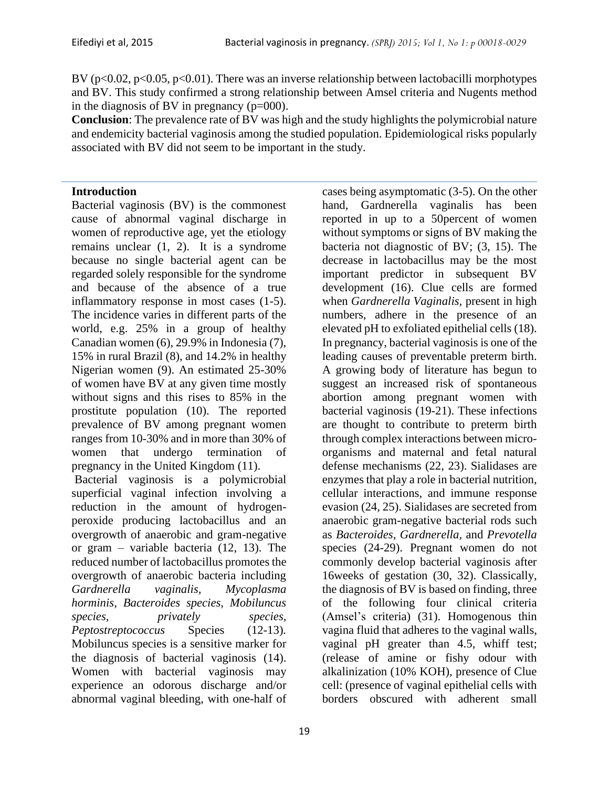BV ( $p<0.02$ ,  $p<0.05$ ,  $p<0.01$ ). There was an inverse relationship between lactobacilli morphotypes and BV. This study confirmed a strong relationship between Amsel criteria and Nugents method in the diagnosis of BV in pregnancy (p=000).

**Conclusion**: The prevalence rate of BV was high and the study highlights the polymicrobial nature and endemicity bacterial vaginosis among the studied population. Epidemiological risks popularly associated with BV did not seem to be important in the study.

## **Introduction**

Bacterial vaginosis (BV) is the commonest cause of abnormal vaginal discharge in women of reproductive age, yet the etiology remains unclear (1, 2). It is a syndrome because no single bacterial agent can be regarded solely responsible for the syndrome and because of the absence of a true inflammatory response in most cases (1-5). The incidence varies in different parts of the world, e.g. 25% in a group of healthy Canadian women (6), 29.9% in Indonesia (7), 15% in rural Brazil (8), and 14.2% in healthy Nigerian women (9). An estimated 25-30% of women have BV at any given time mostly without signs and this rises to 85% in the prostitute population (10). The reported prevalence of BV among pregnant women ranges from 10-30% and in more than 30% of women that undergo termination of pregnancy in the United Kingdom (11).

Bacterial vaginosis is a polymicrobial superficial vaginal infection involving a reduction in the amount of hydrogenperoxide producing lactobacillus and an overgrowth of anaerobic and gram-negative or gram – variable bacteria (12, 13). The reduced number of lactobacillus promotes the overgrowth of anaerobic bacteria including *Gardnerella vaginalis, Mycoplasma horminis, Bacteroides species, Mobiluncus species, privately species, Peptostreptococcus* Species (12-13)*.* Mobiluncus species is a sensitive marker for the diagnosis of bacterial vaginosis (14). Women with bacterial vaginosis may experience an odorous discharge and/or abnormal vaginal bleeding, with one-half of

cases being asymptomatic (3-5). On the other hand, Gardnerella vaginalis has been reported in up to a 50percent of women without symptoms or signs of BV making the bacteria not diagnostic of BV; (3, 15). The decrease in lactobacillus may be the most important predictor in subsequent BV development (16). Clue cells are formed when *Gardnerella Vaginalis,* present in high numbers, adhere in the presence of an elevated pH to exfoliated epithelial cells (18). In pregnancy, bacterial vaginosis is one of the leading causes of preventable preterm birth. A growing body of literature has begun to suggest an increased risk of spontaneous abortion among pregnant women with bacterial vaginosis (19-21). These infections are thought to contribute to preterm birth through complex interactions between microorganisms and maternal and fetal natural defense mechanisms (22, 23). Sialidases are enzymes that play a role in bacterial nutrition, cellular interactions, and immune response evasion (24, 25). Sialidases are secreted from anaerobic gram-negative bacterial rods such as *Bacteroides*, *Gardnerella,* and *Prevotella* species (24-29). Pregnant women do not commonly develop bacterial vaginosis after 16weeks of gestation (30, 32). Classically, the diagnosis of BV is based on finding, three of the following four clinical criteria (Amsel's criteria) (31). Homogenous thin vagina fluid that adheres to the vaginal walls, vaginal pH greater than 4.5, whiff test; (release of amine or fishy odour with alkalinization (10% KOH), presence of Clue cell: (presence of vaginal epithelial cells with borders obscured with adherent small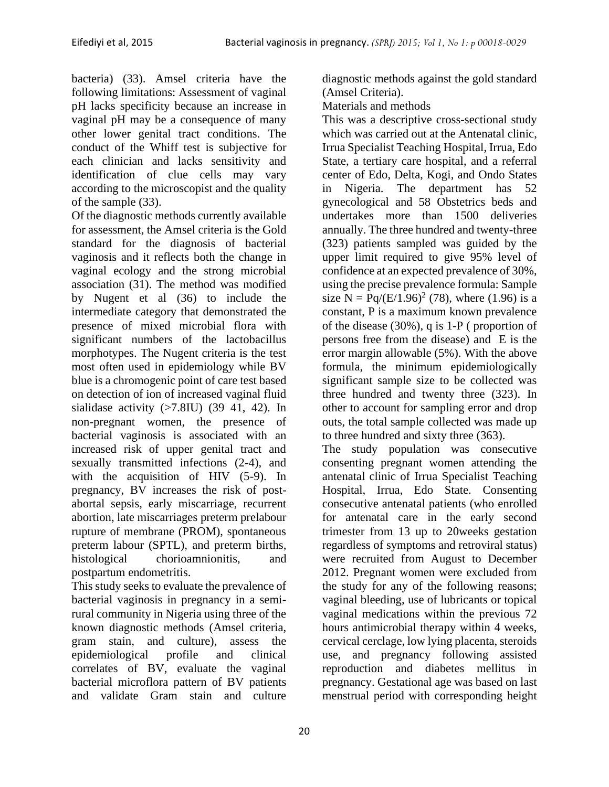bacteria) (33). Amsel criteria have the following limitations: Assessment of vaginal pH lacks specificity because an increase in vaginal pH may be a consequence of many other lower genital tract conditions. The conduct of the Whiff test is subjective for each clinician and lacks sensitivity and identification of clue cells may vary according to the microscopist and the quality of the sample (33).

Of the diagnostic methods currently available for assessment, the Amsel criteria is the Gold standard for the diagnosis of bacterial vaginosis and it reflects both the change in vaginal ecology and the strong microbial association (31). The method was modified by Nugent et al (36) to include the intermediate category that demonstrated the presence of mixed microbial flora with significant numbers of the lactobacillus morphotypes. The Nugent criteria is the test most often used in epidemiology while BV blue is a chromogenic point of care test based on detection of ion of increased vaginal fluid sialidase activity  $(>7.8$ IU)  $(39 41, 42)$ . In non-pregnant women, the presence of bacterial vaginosis is associated with an increased risk of upper genital tract and sexually transmitted infections (2-4), and with the acquisition of HIV (5-9). In pregnancy, BV increases the risk of postabortal sepsis, early miscarriage, recurrent abortion, late miscarriages preterm prelabour rupture of membrane (PROM), spontaneous preterm labour (SPTL), and preterm births, histological chorioamnionitis, and postpartum endometritis.

This study seeks to evaluate the prevalence of bacterial vaginosis in pregnancy in a semirural community in Nigeria using three of the known diagnostic methods (Amsel criteria, gram stain, and culture), assess the epidemiological profile and clinical correlates of BV, evaluate the vaginal bacterial microflora pattern of BV patients and validate Gram stain and culture

diagnostic methods against the gold standard (Amsel Criteria).

Materials and methods

This was a descriptive cross-sectional study which was carried out at the Antenatal clinic, Irrua Specialist Teaching Hospital, Irrua, Edo State, a tertiary care hospital, and a referral center of Edo, Delta, Kogi, and Ondo States in Nigeria. The department has 52 gynecological and 58 Obstetrics beds and undertakes more than 1500 deliveries annually. The three hundred and twenty-three (323) patients sampled was guided by the upper limit required to give 95% level of confidence at an expected prevalence of 30%, using the precise prevalence formula: Sample size  $N = \frac{Pq}{(E/1.96)^2}$  (78), where (1.96) is a constant, P is a maximum known prevalence of the disease (30%), q is 1-P ( proportion of persons free from the disease) and E is the error margin allowable (5%). With the above formula, the minimum epidemiologically significant sample size to be collected was three hundred and twenty three (323). In other to account for sampling error and drop outs, the total sample collected was made up to three hundred and sixty three (363).

The study population was consecutive consenting pregnant women attending the antenatal clinic of Irrua Specialist Teaching Hospital, Irrua, Edo State. Consenting consecutive antenatal patients (who enrolled for antenatal care in the early second trimester from 13 up to 20weeks gestation regardless of symptoms and retroviral status) were recruited from August to December 2012. Pregnant women were excluded from the study for any of the following reasons; vaginal bleeding, use of lubricants or topical vaginal medications within the previous 72 hours antimicrobial therapy within 4 weeks, cervical cerclage, low lying placenta, steroids use, and pregnancy following assisted reproduction and diabetes mellitus in pregnancy. Gestational age was based on last menstrual period with corresponding height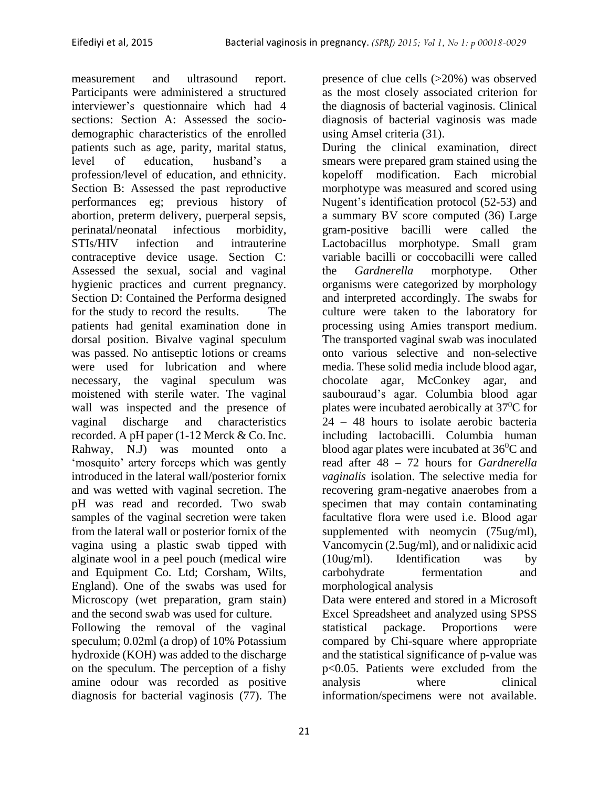measurement and ultrasound report. Participants were administered a structured interviewer's questionnaire which had 4 sections: Section A: Assessed the sociodemographic characteristics of the enrolled patients such as age, parity, marital status, level of education, husband's a profession/level of education, and ethnicity. Section B: Assessed the past reproductive performances eg; previous history of abortion, preterm delivery, puerperal sepsis, perinatal/neonatal infectious morbidity, STIs/HIV infection and intrauterine contraceptive device usage. Section C: Assessed the sexual, social and vaginal hygienic practices and current pregnancy. Section D: Contained the Performa designed for the study to record the results. The patients had genital examination done in dorsal position. Bivalve vaginal speculum was passed. No antiseptic lotions or creams were used for lubrication and where necessary, the vaginal speculum was moistened with sterile water. The vaginal wall was inspected and the presence of vaginal discharge and characteristics recorded. A pH paper (1-12 Merck & Co. Inc. Rahway, N.J) was mounted onto a 'mosquito' artery forceps which was gently introduced in the lateral wall/posterior fornix and was wetted with vaginal secretion. The pH was read and recorded. Two swab samples of the vaginal secretion were taken from the lateral wall or posterior fornix of the vagina using a plastic swab tipped with alginate wool in a peel pouch (medical wire and Equipment Co. Ltd; Corsham, Wilts, England). One of the swabs was used for Microscopy (wet preparation, gram stain) and the second swab was used for culture. Following the removal of the vaginal

speculum; 0.02ml (a drop) of 10% Potassium hydroxide (KOH) was added to the discharge on the speculum. The perception of a fishy amine odour was recorded as positive diagnosis for bacterial vaginosis (77). The

presence of clue cells (>20%) was observed as the most closely associated criterion for the diagnosis of bacterial vaginosis. Clinical diagnosis of bacterial vaginosis was made using Amsel criteria (31).

During the clinical examination, direct smears were prepared gram stained using the kopeloff modification. Each microbial morphotype was measured and scored using Nugent's identification protocol (52-53) and a summary BV score computed (36) Large gram-positive bacilli were called the Lactobacillus morphotype. Small gram variable bacilli or coccobacilli were called the *Gardnerella* morphotype. Other organisms were categorized by morphology and interpreted accordingly. The swabs for culture were taken to the laboratory for processing using Amies transport medium. The transported vaginal swab was inoculated onto various selective and non-selective media. These solid media include blood agar, chocolate agar, McConkey agar, and saubouraud's agar. Columbia blood agar plates were incubated aerobically at  $37^{\circ}$ C for 24 – 48 hours to isolate aerobic bacteria including lactobacilli. Columbia human blood agar plates were incubated at  $36^0C$  and read after 48 – 72 hours for *Gardnerella vaginalis* isolation. The selective media for recovering gram-negative anaerobes from a specimen that may contain contaminating facultative flora were used i.e. Blood agar supplemented with neomycin (75ug/ml), Vancomycin (2.5ug/ml), and or nalidixic acid (10ug/ml). Identification was by carbohydrate fermentation and morphological analysis

Data were entered and stored in a Microsoft Excel Spreadsheet and analyzed using SPSS statistical package. Proportions were compared by Chi-square where appropriate and the statistical significance of p-value was p<0.05. Patients were excluded from the analysis where clinical information/specimens were not available.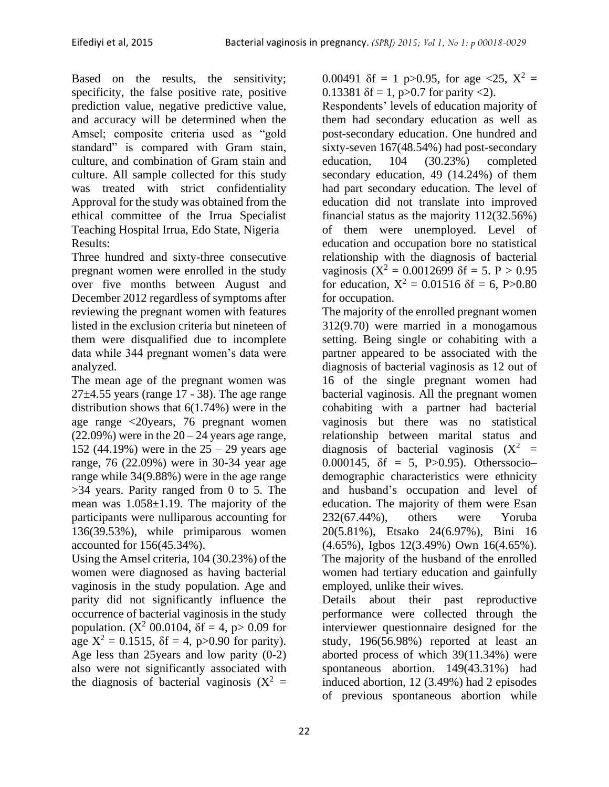Based on the results, the sensitivity; specificity, the false positive rate, positive prediction value, negative predictive value, and accuracy will be determined when the Amsel; composite criteria used as "gold standard" is compared with Gram stain, culture, and combination of Gram stain and culture. All sample collected for this study was treated with strict confidentiality Approval for the study was obtained from the ethical committee of the Irrua Specialist Teaching Hospital Irrua, Edo State, Nigeria Results:

Three hundred and sixty-three consecutive pregnant women were enrolled in the study over five months between August and December 2012 regardless of symptoms after reviewing the pregnant women with features listed in the exclusion criteria but nineteen of them were disqualified due to incomplete data while 344 pregnant women's data were analyzed.

The mean age of the pregnant women was  $27\pm4.55$  years (range 17 - 38). The age range distribution shows that 6(1.74%) were in the age range <20years, 76 pregnant women  $(22.09\%)$  were in the  $20 - 24$  years age range, 152 (44.19%) were in the 25 – 29 years age range, 76 (22.09%) were in 30-34 year age range while 34(9.88%) were in the age range >34 years. Parity ranged from 0 to 5. The mean was  $1.058 \pm 1.19$ . The majority of the participants were nulliparous accounting for 136(39.53%), while primiparous women accounted for 156(45.34%).

Using the Amsel criteria, 104 (30.23%) of the women were diagnosed as having bacterial vaginosis in the study population. Age and parity did not significantly influence the occurrence of bacterial vaginosis in the study population. ( $X^2$  00.0104,  $\delta f = 4$ , p > 0.09 for age  $X^2 = 0.1515$ ,  $\delta f = 4$ , p>0.90 for parity). Age less than 25years and low parity (0-2) also were not significantly associated with the diagnosis of bacterial vaginosis  $(X^2 =$ 

0.00491  $\delta f = 1$  p>0.95, for age <25,  $X^2 =$ 0.13381  $\delta f = 1$ , p $> 0.7$  for parity <2).

Respondents' levels of education majority of them had secondary education as well as post-secondary education. One hundred and sixty-seven 167(48.54%) had post-secondary education, 104 (30.23%) completed secondary education, 49 (14.24%) of them had part secondary education. The level of education did not translate into improved financial status as the majority 112(32.56%) of them were unemployed. Level of education and occupation bore no statistical relationship with the diagnosis of bacterial vaginosis  $(X^2 = 0.0012699 \delta f = 5. P > 0.95$ for education,  $X^2 = 0.01516$   $\delta f = 6$ , P>0.80 for occupation.

The majority of the enrolled pregnant women 312(9.70) were married in a monogamous setting. Being single or cohabiting with a partner appeared to be associated with the diagnosis of bacterial vaginosis as 12 out of 16 of the single pregnant women had bacterial vaginosis. All the pregnant women cohabiting with a partner had bacterial vaginosis but there was no statistical relationship between marital status and diagnosis of bacterial vaginosis  $(X^2 =$ 0.000145,  $\delta f = 5$ , P>0.95). Otherssociodemographic characteristics were ethnicity and husband's occupation and level of education. The majority of them were Esan 232(67.44%), others were Yoruba 20(5.81%), Etsako 24(6.97%), Bini 16 (4.65%), Igbos 12(3.49%) Own 16(4.65%). The majority of the husband of the enrolled women had tertiary education and gainfully employed, unlike their wives.

Details about their past reproductive performance were collected through the interviewer questionnaire designed for the study, 196(56.98%) reported at least an aborted process of which 39(11.34%) were spontaneous abortion. 149(43.31%) had induced abortion, 12 (3.49%) had 2 episodes of previous spontaneous abortion while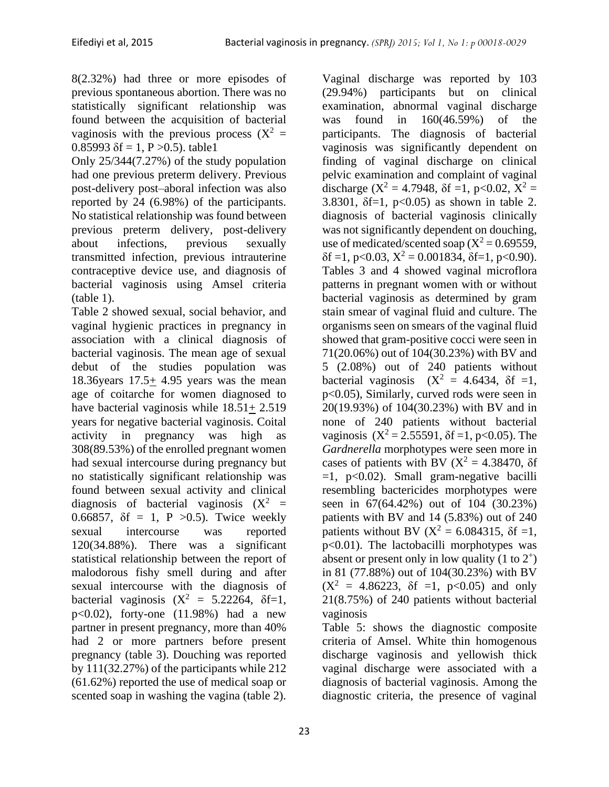8(2.32%) had three or more episodes of previous spontaneous abortion. There was no statistically significant relationship was found between the acquisition of bacterial vaginosis with the previous process  $(X^2 =$ 0.85993  $\delta f = 1$ , P > 0.5). table 1

Only 25/344(7.27%) of the study population had one previous preterm delivery. Previous post-delivery post–aboral infection was also reported by 24 (6.98%) of the participants. No statistical relationship was found between previous preterm delivery, post-delivery about infections, previous sexually transmitted infection, previous intrauterine contraceptive device use, and diagnosis of bacterial vaginosis using Amsel criteria (table 1).

Table 2 showed sexual, social behavior, and vaginal hygienic practices in pregnancy in association with a clinical diagnosis of bacterial vaginosis. The mean age of sexual debut of the studies population was 18.36 years  $17.5 \pm 4.95$  years was the mean age of coitarche for women diagnosed to have bacterial vaginosis while 18.51+ 2.519 years for negative bacterial vaginosis. Coital activity in pregnancy was high as 308(89.53%) of the enrolled pregnant women had sexual intercourse during pregnancy but no statistically significant relationship was found between sexual activity and clinical diagnosis of bacterial vaginosis  $(X^2 =$ 0.66857,  $\delta f = 1$ , P > 0.5). Twice weekly sexual intercourse was reported 120(34.88%). There was a significant statistical relationship between the report of malodorous fishy smell during and after sexual intercourse with the diagnosis of bacterial vaginosis  $(X^2 = 5.22264, \delta f=1,$ p<0.02), forty-one (11.98%) had a new partner in present pregnancy, more than 40% had 2 or more partners before present pregnancy (table 3). Douching was reported by 111(32.27%) of the participants while 212 (61.62%) reported the use of medical soap or scented soap in washing the vagina (table 2).

(29.94%) participants but on clinical examination, abnormal vaginal discharge was found in 160(46.59%) of the participants. The diagnosis of bacterial vaginosis was significantly dependent on finding of vaginal discharge on clinical pelvic examination and complaint of vaginal discharge ( $X^2 = 4.7948$ ,  $\delta f = 1$ , p<0.02,  $X^2 =$ 3.8301,  $\delta f = 1$ ,  $p < 0.05$ ) as shown in table 2. diagnosis of bacterial vaginosis clinically was not significantly dependent on douching, use of medicated/scented soap  $(X^2 = 0.69559)$ ,  $\delta f = 1$ , p<0.03,  $X^2 = 0.001834$ ,  $\delta f = 1$ , p<0.90). Tables 3 and 4 showed vaginal microflora patterns in pregnant women with or without bacterial vaginosis as determined by gram stain smear of vaginal fluid and culture. The organisms seen on smears of the vaginal fluid showed that gram-positive cocci were seen in 71(20.06%) out of 104(30.23%) with BV and 5 (2.08%) out of 240 patients without bacterial vaginosis  $(X^2 = 4.6434, \delta f = 1,$ p<0.05), Similarly, curved rods were seen in 20(19.93%) of 104(30.23%) with BV and in none of 240 patients without bacterial vaginosis  $(X^2 = 2.55591, \delta f = 1, p < 0.05)$ . The *Gardnerella* morphotypes were seen more in cases of patients with BV ( $X^2 = 4.38470$ ,  $\delta f$  $=1$ ,  $p<0.02$ ). Small gram-negative bacilli resembling bactericides morphotypes were seen in 67(64.42%) out of 104 (30.23%) patients with BV and 14 (5.83%) out of 240 patients without BV ( $X^2 = 6.084315$ ,  $\delta f = 1$ , p<0.01). The lactobacilli morphotypes was absent or present only in low quality  $(1 to 2^+)$ in 81 (77.88%) out of 104(30.23%) with BV  $(X^2 = 4.86223, \delta f =1, p<0.05)$  and only 21(8.75%) of 240 patients without bacterial vaginosis

Vaginal discharge was reported by 103

Table 5: shows the diagnostic composite criteria of Amsel. White thin homogenous discharge vaginosis and yellowish thick vaginal discharge were associated with a diagnosis of bacterial vaginosis. Among the diagnostic criteria, the presence of vaginal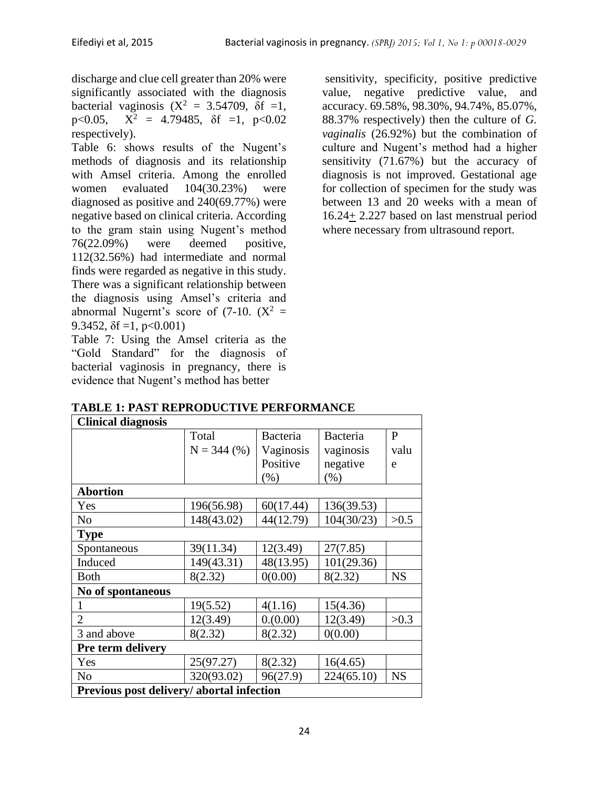discharge and clue cell greater than 20% were significantly associated with the diagnosis bacterial vaginosis  $(X^2 = 3.54709, \delta f = 1,$ p<0.05,  $X^2 = 4.79485$ ,  $\delta f =1$ , p<0.02 respectively).

Table 6: shows results of the Nugent's methods of diagnosis and its relationship with Amsel criteria. Among the enrolled women evaluated 104(30.23%) were diagnosed as positive and 240(69.77%) were negative based on clinical criteria. According to the gram stain using Nugent's method 76(22.09%) were deemed positive, 112(32.56%) had intermediate and normal finds were regarded as negative in this study. There was a significant relationship between the diagnosis using Amsel's criteria and abnormal Nugernt's score of  $(7-10)$ .  $(X^2 =$ 9.3452,  $\delta f = 1$ , p<0.001)

Table 7: Using the Amsel criteria as the "Gold Standard" for the diagnosis of bacterial vaginosis in pregnancy, there is evidence that Nugent's method has better

sensitivity, specificity, positive predictive value, negative predictive value, and accuracy. 69.58%, 98.30%, 94.74%, 85.07%, 88.37% respectively) then the culture of *G. vaginalis* (26.92%) but the combination of culture and Nugent's method had a higher sensitivity (71.67%) but the accuracy of diagnosis is not improved. Gestational age for collection of specimen for the study was between 13 and 20 weeks with a mean of 16.24+ 2.227 based on last menstrual period where necessary from ultrasound report.

|  | <b>TABLE 1: PAST REPRODUCTIVE PERFORMANCE</b> |
|--|-----------------------------------------------|
|--|-----------------------------------------------|

| <b>Clinical diagnosis</b>                |               |                 |            |           |  |  |  |
|------------------------------------------|---------------|-----------------|------------|-----------|--|--|--|
|                                          | Total         | <b>Bacteria</b> | Bacteria   | P         |  |  |  |
|                                          | $N = 344$ (%) | Vaginosis       | vaginosis  | valu      |  |  |  |
|                                          |               | Positive        | negative   | e         |  |  |  |
|                                          |               | $(\% )$         | (%)        |           |  |  |  |
| <b>Abortion</b>                          |               |                 |            |           |  |  |  |
| Yes                                      | 196(56.98)    | 60(17.44)       | 136(39.53) |           |  |  |  |
| N <sub>0</sub>                           | 148(43.02)    | 44(12.79)       | 104(30/23) | >0.5      |  |  |  |
| <b>Type</b>                              |               |                 |            |           |  |  |  |
| Spontaneous                              | 39(11.34)     | 12(3.49)        | 27(7.85)   |           |  |  |  |
| Induced                                  | 149(43.31)    | 48(13.95)       | 101(29.36) |           |  |  |  |
| Both                                     | 8(2.32)       | 0(0.00)         | 8(2.32)    | <b>NS</b> |  |  |  |
| No of spontaneous                        |               |                 |            |           |  |  |  |
| 1                                        | 19(5.52)      | 4(1.16)         | 15(4.36)   |           |  |  |  |
| $\overline{2}$                           | 12(3.49)      | 0.000           | 12(3.49)   | >0.3      |  |  |  |
| 3 and above                              | 8(2.32)       | 8(2.32)         | 0(0.00)    |           |  |  |  |
| <b>Pre term delivery</b>                 |               |                 |            |           |  |  |  |
| Yes                                      | 25(97.27)     | 8(2.32)         | 16(4.65)   |           |  |  |  |
| N <sub>o</sub>                           | 320(93.02)    | 96(27.9)        | 224(65.10) | <b>NS</b> |  |  |  |
| Previous post delivery/abortal infection |               |                 |            |           |  |  |  |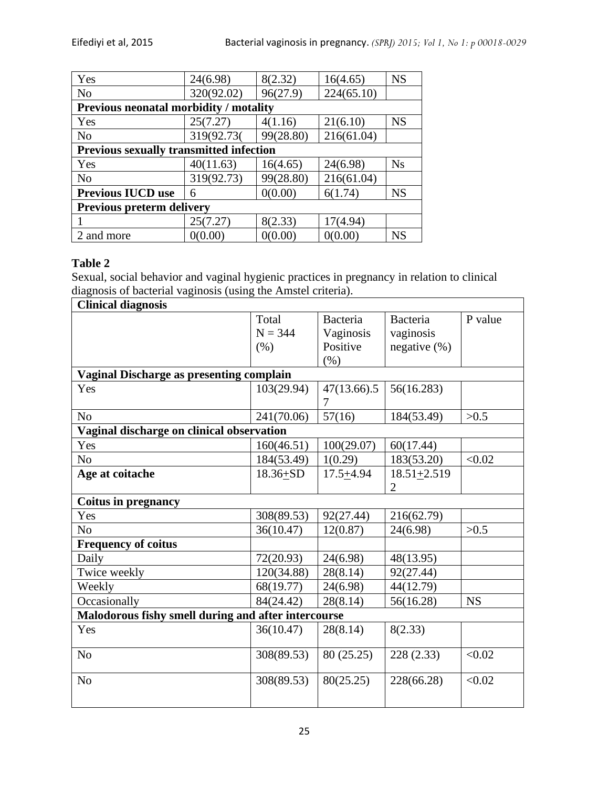| Yes                                           | 24(6.98)                                       | 8(2.32)   | 16(4.65)   | <b>NS</b> |  |  |  |  |
|-----------------------------------------------|------------------------------------------------|-----------|------------|-----------|--|--|--|--|
| N <sub>o</sub>                                | 320(92.02)                                     | 96(27.9)  | 224(65.10) |           |  |  |  |  |
| <b>Previous neonatal morbidity / motality</b> |                                                |           |            |           |  |  |  |  |
| Yes                                           | 25(7.27)                                       | 4(1.16)   | 21(6.10)   | <b>NS</b> |  |  |  |  |
| N <sub>o</sub>                                | 319(92.73(                                     | 99(28.80) | 216(61.04) |           |  |  |  |  |
|                                               | <b>Previous sexually transmitted infection</b> |           |            |           |  |  |  |  |
| Yes                                           | 40(11.63)                                      | 16(4.65)  | 24(6.98)   | <b>Ns</b> |  |  |  |  |
| N <sub>o</sub>                                | 319(92.73)                                     | 99(28.80) | 216(61.04) |           |  |  |  |  |
| <b>Previous IUCD use</b>                      | 6                                              | 0(0.00)   | 6(1.74)    | <b>NS</b> |  |  |  |  |
| Previous preterm delivery                     |                                                |           |            |           |  |  |  |  |
|                                               | 25(7.27)                                       | 8(2.33)   | 17(4.94)   |           |  |  |  |  |
| 2 and more                                    | 0(0.00)                                        | 0(0.00)   | 0(0.00)    | <b>NS</b> |  |  |  |  |

## **Table 2**

Sexual, social behavior and vaginal hygienic practices in pregnancy in relation to clinical diagnosis of bacterial vaginosis (using the Amstel criteria).

| <b>Clinical diagnosis</b>                           |                                                 |                 |                  |           |  |  |  |  |
|-----------------------------------------------------|-------------------------------------------------|-----------------|------------------|-----------|--|--|--|--|
|                                                     | Total                                           | <b>Bacteria</b> | Bacteria         | P value   |  |  |  |  |
|                                                     | $N = 344$                                       | Vaginosis       | vaginosis        |           |  |  |  |  |
|                                                     | $(\% )$                                         | Positive        | negative $(\% )$ |           |  |  |  |  |
|                                                     |                                                 | $(\% )$         |                  |           |  |  |  |  |
|                                                     | <b>Vaginal Discharge as presenting complain</b> |                 |                  |           |  |  |  |  |
| Yes                                                 | 103(29.94)                                      | 47(13.66).5     | 56(16.283)       |           |  |  |  |  |
|                                                     |                                                 | 7               |                  |           |  |  |  |  |
| N <sub>o</sub>                                      | 241(70.06)                                      | 57(16)          | 184(53.49)       | >0.5      |  |  |  |  |
| Vaginal discharge on clinical observation           |                                                 |                 |                  |           |  |  |  |  |
| Yes                                                 | 160(46.51)                                      | 100(29.07)      | 60(17.44)        |           |  |  |  |  |
| No                                                  | 184(53.49)                                      | 1(0.29)         | 183(53.20)       | < 0.02    |  |  |  |  |
| Age at coitache                                     | $18.36 + SD$                                    | $17.5 + 4.94$   | $18.51 + 2.519$  |           |  |  |  |  |
|                                                     |                                                 |                 | $\overline{2}$   |           |  |  |  |  |
| <b>Coitus in pregnancy</b>                          |                                                 |                 |                  |           |  |  |  |  |
| Yes                                                 | 308(89.53)                                      | 92(27.44)       | 216(62.79)       |           |  |  |  |  |
| N <sub>0</sub>                                      | 36(10.47)                                       | 12(0.87)        | 24(6.98)         | >0.5      |  |  |  |  |
| <b>Frequency of coitus</b>                          |                                                 |                 |                  |           |  |  |  |  |
| Daily                                               | 72(20.93)                                       | 24(6.98)        | 48(13.95)        |           |  |  |  |  |
| Twice weekly                                        | 120(34.88)                                      | 28(8.14)        | 92(27.44)        |           |  |  |  |  |
| Weekly                                              | 68(19.77)                                       | 24(6.98)        | 44(12.79)        |           |  |  |  |  |
| Occasionally                                        | 84(24.42)                                       | 28(8.14)        | 56(16.28)        | <b>NS</b> |  |  |  |  |
| Malodorous fishy smell during and after intercourse |                                                 |                 |                  |           |  |  |  |  |
| Yes                                                 | 36(10.47)                                       | 28(8.14)        | 8(2.33)          |           |  |  |  |  |
| N <sub>o</sub>                                      | 308(89.53)                                      | 80 (25.25)      | 228(2.33)        | < 0.02    |  |  |  |  |
|                                                     |                                                 |                 |                  |           |  |  |  |  |
| N <sub>o</sub>                                      | 308(89.53)                                      | 80(25.25)       | 228(66.28)       | < 0.02    |  |  |  |  |
|                                                     |                                                 |                 |                  |           |  |  |  |  |
|                                                     |                                                 |                 |                  |           |  |  |  |  |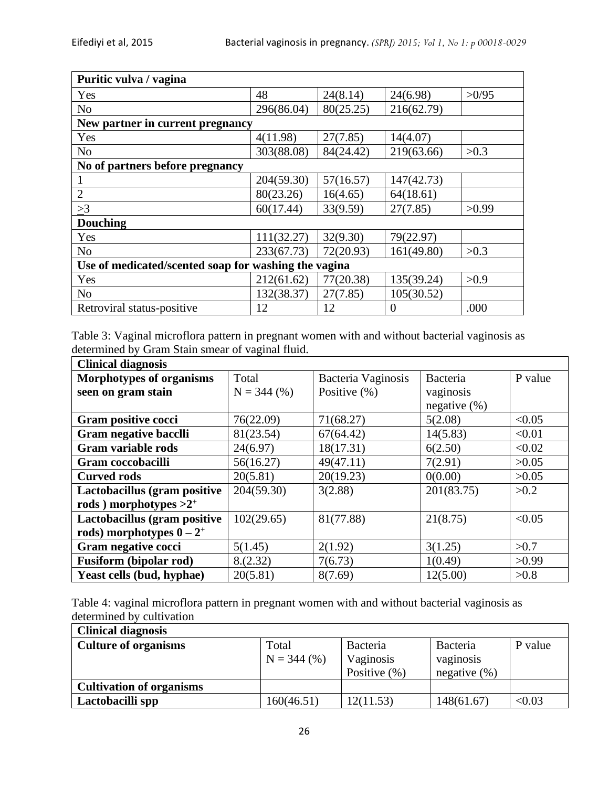| Puritic vulva / vagina                               |            |           |            |       |  |  |  |
|------------------------------------------------------|------------|-----------|------------|-------|--|--|--|
| Yes                                                  | 48         | 24(8.14)  | 24(6.98)   | >0/95 |  |  |  |
| N <sub>o</sub>                                       | 296(86.04) | 80(25.25) | 216(62.79) |       |  |  |  |
| New partner in current pregnancy                     |            |           |            |       |  |  |  |
| Yes                                                  | 4(11.98)   | 27(7.85)  | 14(4.07)   |       |  |  |  |
| N <sub>o</sub>                                       | 303(88.08) | 84(24.42) | 219(63.66) | >0.3  |  |  |  |
| No of partners before pregnancy                      |            |           |            |       |  |  |  |
|                                                      | 204(59.30) | 57(16.57) | 147(42.73) |       |  |  |  |
| $\overline{2}$                                       | 80(23.26)  | 16(4.65)  | 64(18.61)  |       |  |  |  |
| >3                                                   | 60(17.44)  | 33(9.59)  | 27(7.85)   | >0.99 |  |  |  |
| <b>Douching</b>                                      |            |           |            |       |  |  |  |
| Yes                                                  | 111(32.27) | 32(9.30)  | 79(22.97)  |       |  |  |  |
| N <sub>o</sub>                                       | 233(67.73) | 72(20.93) | 161(49.80) | >0.3  |  |  |  |
| Use of medicated/scented soap for washing the vagina |            |           |            |       |  |  |  |
| Yes                                                  | 212(61.62) | 77(20.38) | 135(39.24) | >0.9  |  |  |  |
| N <sub>o</sub>                                       | 132(38.37) | 27(7.85)  | 105(30.52) |       |  |  |  |
| Retroviral status-positive                           | 12         | 12        | 0          | .000  |  |  |  |

Table 3: Vaginal microflora pattern in pregnant women with and without bacterial vaginosis as determined by Gram Stain smear of vaginal fluid.

| <b>Clinical diagnosis</b>       |               |                    |                  |         |  |  |  |
|---------------------------------|---------------|--------------------|------------------|---------|--|--|--|
| <b>Morphotypes of organisms</b> | Total         | Bacteria Vaginosis | Bacteria         | P value |  |  |  |
| seen on gram stain              | $N = 344$ (%) | Positive $(\%)$    | vaginosis        |         |  |  |  |
|                                 |               |                    | negative $(\% )$ |         |  |  |  |
| Gram positive cocci             | 76(22.09)     | 71(68.27)          | 5(2.08)          | < 0.05  |  |  |  |
| <b>Gram negative bacclli</b>    | 81(23.54)     | 67(64.42)          | 14(5.83)         | < 0.01  |  |  |  |
| Gram variable rods              | 24(6.97)      | 18(17.31)          | 6(2.50)          | < 0.02  |  |  |  |
| Gram coccobacilli               | 56(16.27)     | 49(47.11)          | 7(2.91)          | >0.05   |  |  |  |
| <b>Curved rods</b>              | 20(5.81)      | 20(19.23)          | 0(0.00)          | >0.05   |  |  |  |
| Lactobacillus (gram positive    | 204(59.30)    | 3(2.88)            | 201(83.75)       | >0.2    |  |  |  |
| rods) morphotypes $>2^+$        |               |                    |                  |         |  |  |  |
| Lactobacillus (gram positive    | 102(29.65)    | 81(77.88)          | 21(8.75)         | < 0.05  |  |  |  |
| rods) morphotypes $0-2^+$       |               |                    |                  |         |  |  |  |
| Gram negative cocci             | 5(1.45)       | 2(1.92)            | 3(1.25)          | >0.7    |  |  |  |
| <b>Fusiform</b> (bipolar rod)   | 8.(2.32)      | 7(6.73)            | 1(0.49)          | >0.99   |  |  |  |
| Yeast cells (bud, hyphae)       | 20(5.81)      | 8(7.69)            | 12(5.00)         | >0.8    |  |  |  |

Table 4: vaginal microflora pattern in pregnant women with and without bacterial vaginosis as determined by cultivation

| <b>Clinical diagnosis</b>       |                        |                                                  |                                          |         |  |  |  |  |
|---------------------------------|------------------------|--------------------------------------------------|------------------------------------------|---------|--|--|--|--|
| <b>Culture of organisms</b>     | Total<br>$N = 344$ (%) | <b>Bacteria</b><br>Vaginosis<br>Positive $(\% )$ | Bacteria<br>vaginosis<br>negative $(\%)$ | P value |  |  |  |  |
| <b>Cultivation of organisms</b> |                        |                                                  |                                          |         |  |  |  |  |
| Lactobacilli spp                | 160(46.51)             | 12(11.53)                                        | 148(61.67)                               | < 0.03  |  |  |  |  |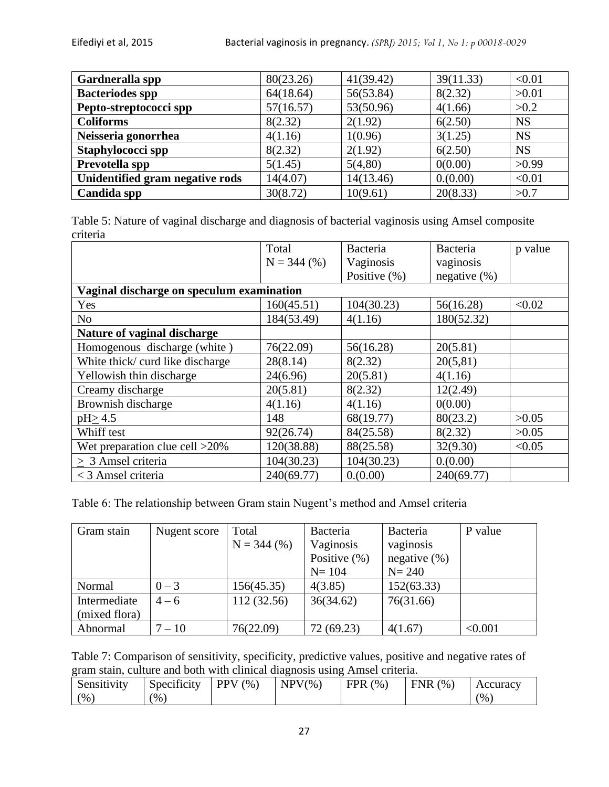| Gardneralla spp                 | 80(23.26) | 41(39.42) | 39(11.33) | < 0.01    |
|---------------------------------|-----------|-----------|-----------|-----------|
| <b>Bacteriodes spp</b>          | 64(18.64) | 56(53.84) | 8(2.32)   | >0.01     |
| Pepto-streptococci spp          | 57(16.57) | 53(50.96) | 4(1.66)   | >0.2      |
| <b>Coliforms</b>                | 8(2.32)   | 2(1.92)   | 6(2.50)   | <b>NS</b> |
| Neisseria gonorrhea             | 4(1.16)   | 1(0.96)   | 3(1.25)   | <b>NS</b> |
| Staphylococci spp               | 8(2.32)   | 2(1.92)   | 6(2.50)   | <b>NS</b> |
| Prevotella spp                  | 5(1.45)   | 5(4,80)   | 0(0.00)   | >0.99     |
| Unidentified gram negative rods | 14(4.07)  | 14(13.46) | 0.000     | < 0.01    |
| Candida spp                     | 30(8.72)  | 10(9.61)  | 20(8.33)  | >0.7      |

Table 5: Nature of vaginal discharge and diagnosis of bacterial vaginosis using Amsel composite criteria

|                                           | Total         | Bacteria         | Bacteria        | p value |  |  |
|-------------------------------------------|---------------|------------------|-----------------|---------|--|--|
|                                           | $N = 344$ (%) | Vaginosis        | vaginosis       |         |  |  |
|                                           |               | Positive $(\% )$ | negative $(\%)$ |         |  |  |
| Vaginal discharge on speculum examination |               |                  |                 |         |  |  |
| Yes                                       | 160(45.51)    | 104(30.23)       | 56(16.28)       | < 0.02  |  |  |
| N <sub>o</sub>                            | 184(53.49)    | 4(1.16)          | 180(52.32)      |         |  |  |
| Nature of vaginal discharge               |               |                  |                 |         |  |  |
| Homogenous discharge (white)              | 76(22.09)     | 56(16.28)        | 20(5.81)        |         |  |  |
| White thick/ curd like discharge          | 28(8.14)      | 8(2.32)          | 20(5,81)        |         |  |  |
| Yellowish thin discharge                  | 24(6.96)      | 20(5.81)         | 4(1.16)         |         |  |  |
| Creamy discharge                          | 20(5.81)      | 8(2.32)          | 12(2.49)        |         |  |  |
| Brownish discharge                        | 4(1.16)       | 4(1.16)          | 0(0.00)         |         |  |  |
| pH > 4.5                                  | 148           | 68(19.77)        | 80(23.2)        | >0.05   |  |  |
| Whiff test                                | 92(26.74)     | 84(25.58)        | 8(2.32)         | >0.05   |  |  |
| Wet preparation clue cell >20%            | 120(38.88)    | 88(25.58)        | 32(9.30)        | < 0.05  |  |  |
| > 3 Amsel criteria                        | 104(30.23)    | 104(30.23)       | 0.000           |         |  |  |
| < 3 Amsel criteria                        | 240(69.77)    | 0.000            | 240(69.77)      |         |  |  |

Table 6: The relationship between Gram stain Nugent's method and Amsel criteria

| Gram stain    | Nugent score | Total         | Bacteria         | Bacteria         | P value |
|---------------|--------------|---------------|------------------|------------------|---------|
|               |              | $N = 344$ (%) | Vaginosis        | vaginosis        |         |
|               |              |               | Positive $(\% )$ | negative $(\% )$ |         |
|               |              |               | $N = 104$        | $N = 240$        |         |
| Normal        | $0 - 3$      | 156(45.35)    | 4(3.85)          | 152(63.33)       |         |
| Intermediate  | $4 - 6$      | 112(32.56)    | 36(34.62)        | 76(31.66)        |         |
| (mixed flora) |              |               |                  |                  |         |
| Abnormal      | $7 - 10$     | 76(22.09)     | 72 (69.23)       | 4(1.67)          | < 0.001 |

Table 7: Comparison of sensitivity, specificity, predictive values, positive and negative rates of gram stain, culture and both with clinical diagnosis using Amsel criteria.

| Sensitivity   | $\sim$<br>$\sim$<br>Specificity | <b>PPV</b><br>$\frac{1}{2}$ | $NPV\%$ | <b>FPR</b><br>$\frac{1}{2}$ | <b>FNR</b><br>(%) | Accuracy                       |
|---------------|---------------------------------|-----------------------------|---------|-----------------------------|-------------------|--------------------------------|
| $\frac{6}{9}$ | $\frac{6}{9}$                   |                             |         |                             |                   | $\gamma$ <sup>o</sup> $\gamma$ |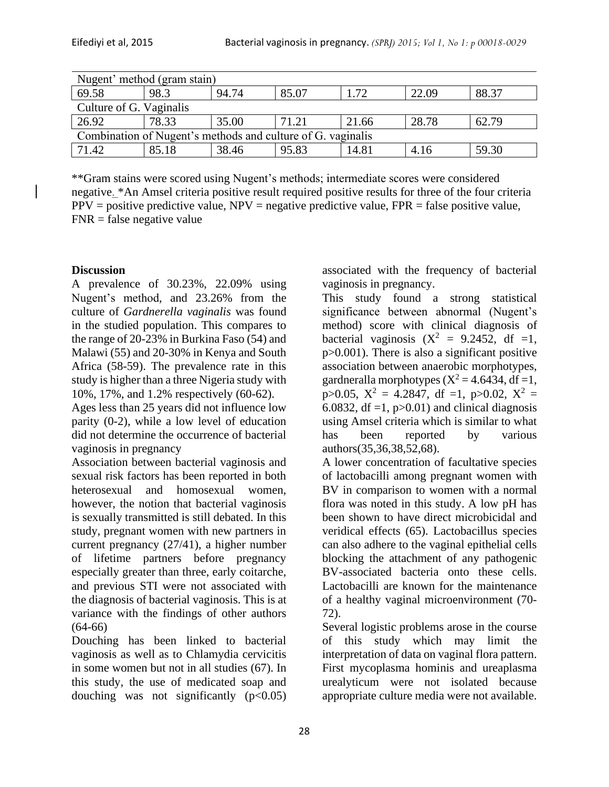| Nugent' method (gram stain)                                 |       |       |       |                  |       |       |  |
|-------------------------------------------------------------|-------|-------|-------|------------------|-------|-------|--|
| 69.58                                                       | 98.3  | 94.74 | 85.07 | $\overline{.72}$ | 22.09 | 88.37 |  |
| Culture of G. Vaginalis                                     |       |       |       |                  |       |       |  |
| 26.92                                                       | 78.33 | 35.00 | 71.21 | 21.66            | 28.78 | 62.79 |  |
| Combination of Nugent's methods and culture of G. vaginalis |       |       |       |                  |       |       |  |
| 71.42                                                       | 85.18 | 38.46 | 95.83 | 14.81            | 4.16  | 59.30 |  |

\*\*Gram stains were scored using Nugent's methods; intermediate scores were considered negative. \*An Amsel criteria positive result required positive results for three of the four criteria  $PPV =$  positive predictive value,  $NPV =$  negative predictive value,  $FPR =$  false positive value,  $FNR = false$  negative value

## **Discussion**

A prevalence of 30.23%, 22.09% using Nugent's method, and 23.26% from the culture of *Gardnerella vaginalis* was found in the studied population. This compares to the range of 20-23% in Burkina Faso (54) and Malawi (55) and 20-30% in Kenya and South Africa (58-59). The prevalence rate in this study is higher than a three Nigeria study with 10%, 17%, and 1.2% respectively (60-62).

Ages less than 25 years did not influence low parity (0-2), while a low level of education did not determine the occurrence of bacterial vaginosis in pregnancy

Association between bacterial vaginosis and sexual risk factors has been reported in both heterosexual and homosexual women, however, the notion that bacterial vaginosis is sexually transmitted is still debated. In this study, pregnant women with new partners in current pregnancy (27/41), a higher number of lifetime partners before pregnancy especially greater than three, early coitarche, and previous STI were not associated with the diagnosis of bacterial vaginosis. This is at variance with the findings of other authors (64-66)

Douching has been linked to bacterial vaginosis as well as to Chlamydia cervicitis in some women but not in all studies (67). In this study, the use of medicated soap and douching was not significantly  $(p<0.05)$ 

associated with the frequency of bacterial vaginosis in pregnancy.

This study found a strong statistical significance between abnormal (Nugent's method) score with clinical diagnosis of bacterial vaginosis  $(X^2 = 9.2452, df = 1$ . p>0.001). There is also a significant positive association between anaerobic morphotypes, gardneralla morphotypes  $(X^2 = 4.6434, df = 1$ , p>0.05,  $X^2 = 4.2847$ , df =1, p>0.02,  $X^2 =$ 6.0832, df =1,  $p > 0.01$ ) and clinical diagnosis using Amsel criteria which is similar to what has been reported by various authors(35,36,38,52,68).

A lower concentration of facultative species of lactobacilli among pregnant women with BV in comparison to women with a normal flora was noted in this study. A low pH has been shown to have direct microbicidal and veridical effects (65). Lactobacillus species can also adhere to the vaginal epithelial cells blocking the attachment of any pathogenic BV-associated bacteria onto these cells. Lactobacilli are known for the maintenance of a healthy vaginal microenvironment (70- 72).

Several logistic problems arose in the course of this study which may limit the interpretation of data on vaginal flora pattern. First mycoplasma hominis and ureaplasma urealyticum were not isolated because appropriate culture media were not available.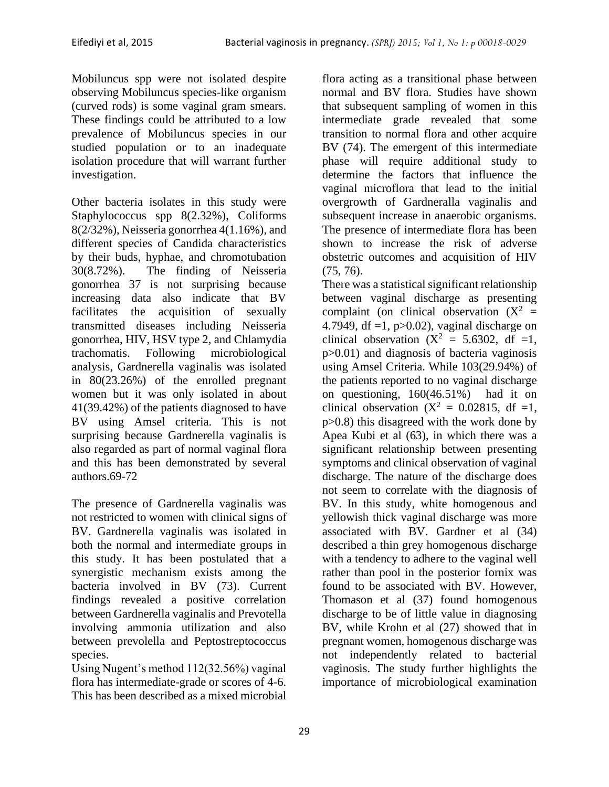Mobiluncus spp were not isolated despite observing Mobiluncus species-like organism (curved rods) is some vaginal gram smears. These findings could be attributed to a low prevalence of Mobiluncus species in our studied population or to an inadequate isolation procedure that will warrant further investigation.

Other bacteria isolates in this study were Staphylococcus spp 8(2.32%), Coliforms 8(2/32%), Neisseria gonorrhea 4(1.16%), and different species of Candida characteristics by their buds, hyphae, and chromotubation 30(8.72%). The finding of Neisseria gonorrhea 37 is not surprising because increasing data also indicate that BV facilitates the acquisition of sexually transmitted diseases including Neisseria gonorrhea, HIV, HSV type 2, and Chlamydia trachomatis. Following microbiological analysis, Gardnerella vaginalis was isolated in 80(23.26%) of the enrolled pregnant women but it was only isolated in about 41(39.42%) of the patients diagnosed to have BV using Amsel criteria. This is not surprising because Gardnerella vaginalis is also regarded as part of normal vaginal flora and this has been demonstrated by several authors.69-72

The presence of Gardnerella vaginalis was not restricted to women with clinical signs of BV. Gardnerella vaginalis was isolated in both the normal and intermediate groups in this study. It has been postulated that a synergistic mechanism exists among the bacteria involved in BV (73). Current findings revealed a positive correlation between Gardnerella vaginalis and Prevotella involving ammonia utilization and also between prevolella and Peptostreptococcus species.

Using Nugent's method 112(32.56%) vaginal flora has intermediate-grade or scores of 4-6. This has been described as a mixed microbial

flora acting as a transitional phase between normal and BV flora. Studies have shown that subsequent sampling of women in this intermediate grade revealed that some transition to normal flora and other acquire BV (74). The emergent of this intermediate phase will require additional study to determine the factors that influence the vaginal microflora that lead to the initial overgrowth of Gardneralla vaginalis and subsequent increase in anaerobic organisms. The presence of intermediate flora has been shown to increase the risk of adverse obstetric outcomes and acquisition of HIV (75, 76).

There was a statistical significant relationship between vaginal discharge as presenting complaint (on clinical observation  $(X^2 =$ 4.7949, df =1,  $p>0.02$ ), vaginal discharge on clinical observation  $(X^2 = 5.6302, df = 1,$ p>0.01) and diagnosis of bacteria vaginosis using Amsel Criteria. While 103(29.94%) of the patients reported to no vaginal discharge on questioning, 160(46.51%) had it on clinical observation  $(X^2 = 0.02815, df = 1,$ p>0.8) this disagreed with the work done by Apea Kubi et al (63), in which there was a significant relationship between presenting symptoms and clinical observation of vaginal discharge. The nature of the discharge does not seem to correlate with the diagnosis of BV. In this study, white homogenous and yellowish thick vaginal discharge was more associated with BV. Gardner et al (34) described a thin grey homogenous discharge with a tendency to adhere to the vaginal well rather than pool in the posterior fornix was found to be associated with BV. However, Thomason et al (37) found homogenous discharge to be of little value in diagnosing BV, while Krohn et al (27) showed that in pregnant women, homogenous discharge was not independently related to bacterial vaginosis. The study further highlights the importance of microbiological examination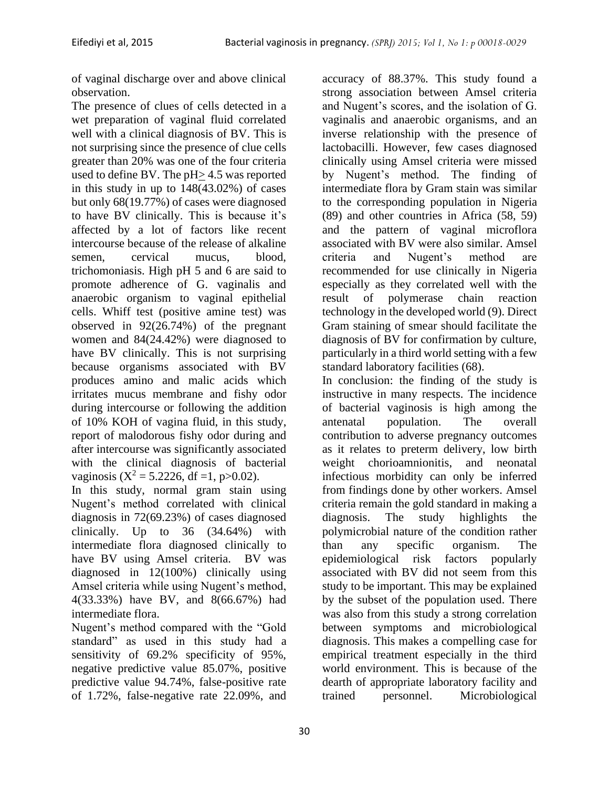of vaginal discharge over and above clinical observation.

The presence of clues of cells detected in a wet preparation of vaginal fluid correlated well with a clinical diagnosis of BV. This is not surprising since the presence of clue cells greater than 20% was one of the four criteria used to define BV. The pH> 4.5 was reported in this study in up to 148(43.02%) of cases but only 68(19.77%) of cases were diagnosed to have BV clinically. This is because it's affected by a lot of factors like recent intercourse because of the release of alkaline semen, cervical mucus, blood, trichomoniasis. High pH 5 and 6 are said to promote adherence of G. vaginalis and anaerobic organism to vaginal epithelial cells. Whiff test (positive amine test) was observed in 92(26.74%) of the pregnant women and 84(24.42%) were diagnosed to have BV clinically. This is not surprising because organisms associated with BV produces amino and malic acids which irritates mucus membrane and fishy odor during intercourse or following the addition of 10% KOH of vagina fluid, in this study, report of malodorous fishy odor during and after intercourse was significantly associated with the clinical diagnosis of bacterial vaginosis ( $X^2 = 5.2226$ , df =1, p>0.02).

In this study, normal gram stain using Nugent's method correlated with clinical diagnosis in 72(69.23%) of cases diagnosed clinically. Up to 36 (34.64%) with intermediate flora diagnosed clinically to have BV using Amsel criteria. BV was diagnosed in 12(100%) clinically using Amsel criteria while using Nugent's method, 4(33.33%) have BV, and 8(66.67%) had intermediate flora.

Nugent's method compared with the "Gold standard" as used in this study had a sensitivity of 69.2% specificity of 95%, negative predictive value 85.07%, positive predictive value 94.74%, false-positive rate of 1.72%, false-negative rate 22.09%, and

accuracy of 88.37%. This study found a strong association between Amsel criteria and Nugent's scores, and the isolation of G. vaginalis and anaerobic organisms, and an inverse relationship with the presence of lactobacilli. However, few cases diagnosed clinically using Amsel criteria were missed by Nugent's method. The finding of intermediate flora by Gram stain was similar to the corresponding population in Nigeria (89) and other countries in Africa (58, 59) and the pattern of vaginal microflora associated with BV were also similar. Amsel criteria and Nugent's method are recommended for use clinically in Nigeria especially as they correlated well with the result of polymerase chain reaction technology in the developed world (9). Direct Gram staining of smear should facilitate the diagnosis of BV for confirmation by culture, particularly in a third world setting with a few standard laboratory facilities (68).

In conclusion: the finding of the study is instructive in many respects. The incidence of bacterial vaginosis is high among the antenatal population. The overall contribution to adverse pregnancy outcomes as it relates to preterm delivery, low birth weight chorioamnionitis, and neonatal infectious morbidity can only be inferred from findings done by other workers. Amsel criteria remain the gold standard in making a diagnosis. The study highlights the polymicrobial nature of the condition rather than any specific organism. The epidemiological risk factors popularly associated with BV did not seem from this study to be important. This may be explained by the subset of the population used. There was also from this study a strong correlation between symptoms and microbiological diagnosis. This makes a compelling case for empirical treatment especially in the third world environment. This is because of the dearth of appropriate laboratory facility and trained personnel. Microbiological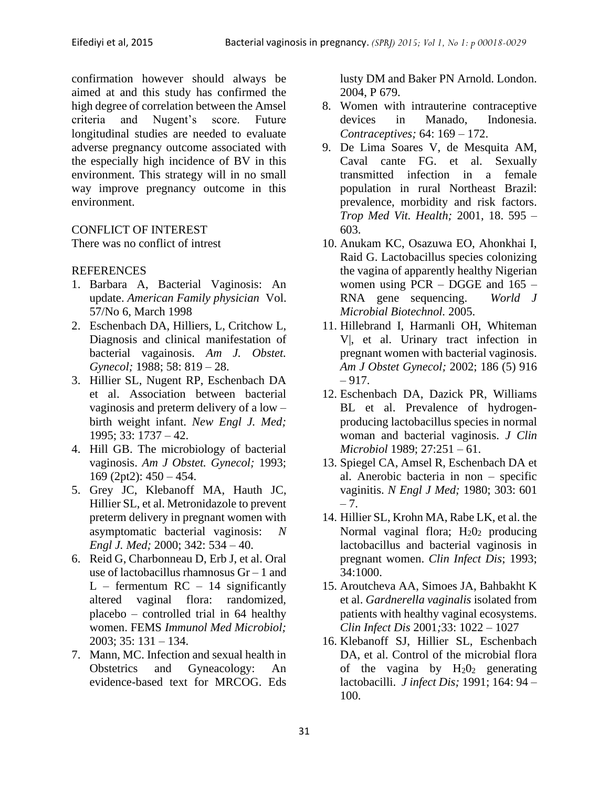confirmation however should always be aimed at and this study has confirmed the high degree of correlation between the Amsel criteria and Nugent's score. Future longitudinal studies are needed to evaluate adverse pregnancy outcome associated with the especially high incidence of BV in this environment. This strategy will in no small way improve pregnancy outcome in this environment.

## CONFLICT OF INTEREST

There was no conflict of intrest

#### **REFERENCES**

- 1. Barbara A, Bacterial Vaginosis: An update. *American Family physician* Vol. 57/No 6, March 1998
- 2. Eschenbach DA, Hilliers, L, Critchow L, Diagnosis and clinical manifestation of bacterial vagainosis. *Am J. Obstet. Gynecol;* 1988; 58: 819 – 28.
- 3. Hillier SL, Nugent RP, Eschenbach DA et al. Association between bacterial vaginosis and preterm delivery of a low – birth weight infant. *New Engl J. Med;* 1995; 33: 1737 – 42.
- 4. Hill GB. The microbiology of bacterial vaginosis. *Am J Obstet. Gynecol;* 1993; 169 (2pt2): 450 – 454.
- 5. Grey JC, Klebanoff MA, Hauth JC, Hillier SL, et al. Metronidazole to prevent preterm delivery in pregnant women with asymptomatic bacterial vaginosis: *N Engl J. Med;* 2000; 342: 534 – 40.
- 6. Reid G, Charbonneau D, Erb J, et al. Oral use of lactobacillus rhamnosus Gr – 1 and  $L$  – fermentum RC – 14 significantly altered vaginal flora: randomized, placebo – controlled trial in 64 healthy women. FEMS *Immunol Med Microbiol;* 2003; 35: 131 – 134.
- 7. Mann, MC. Infection and sexual health in Obstetrics and Gyneacology: An evidence-based text for MRCOG. Eds

lusty DM and Baker PN Arnold. London. 2004, P 679.

- 8. Women with intrauterine contraceptive devices in Manado, Indonesia. *Contraceptives;* 64: 169 – 172.
- 9. De Lima Soares V, de Mesquita AM, Caval cante FG. et al. Sexually transmitted infection in a female population in rural Northeast Brazil: prevalence, morbidity and risk factors. *Trop Med Vit. Health;* 2001, 18. 595 – 603.
- 10. Anukam KC, Osazuwa EO, Ahonkhai I, Raid G. Lactobacillus species colonizing the vagina of apparently healthy Nigerian women using PCR – DGGE and 165 – RNA gene sequencing. *World J Microbial Biotechnol.* 2005.
- 11. Hillebrand I, Harmanli OH, Whiteman V|, et al. Urinary tract infection in pregnant women with bacterial vaginosis. *Am J Obstet Gynecol;* 2002; 186 (5) 916  $-917.$
- 12. Eschenbach DA, Dazick PR, Williams BL et al. Prevalence of hydrogenproducing lactobacillus species in normal woman and bacterial vaginosis. *J Clin Microbiol* 1989; 27:251 – 61.
- 13. Spiegel CA, Amsel R, Eschenbach DA et al. Anerobic bacteria in non – specific vaginitis. *N Engl J Med;* 1980; 303: 601  $-7.$
- 14. Hillier SL, Krohn MA, Rabe LK, et al. the Normal vaginal flora;  $H_2O_2$  producing lactobacillus and bacterial vaginosis in pregnant women. *Clin Infect Dis*; 1993; 34:1000.
- 15. Aroutcheva AA, Simoes JA, Bahbakht K et al. *Gardnerella vaginalis* isolated from patients with healthy vaginal ecosystems. *Clin Infect Dis* 2001*;*33: 1022 – 1027
- 16. Klebanoff SJ, Hillier SL, Eschenbach DA, et al. Control of the microbial flora of the vagina by  $H_2O_2$  generating lactobacilli. *J infect Dis;* 1991; 164: 94 – 100.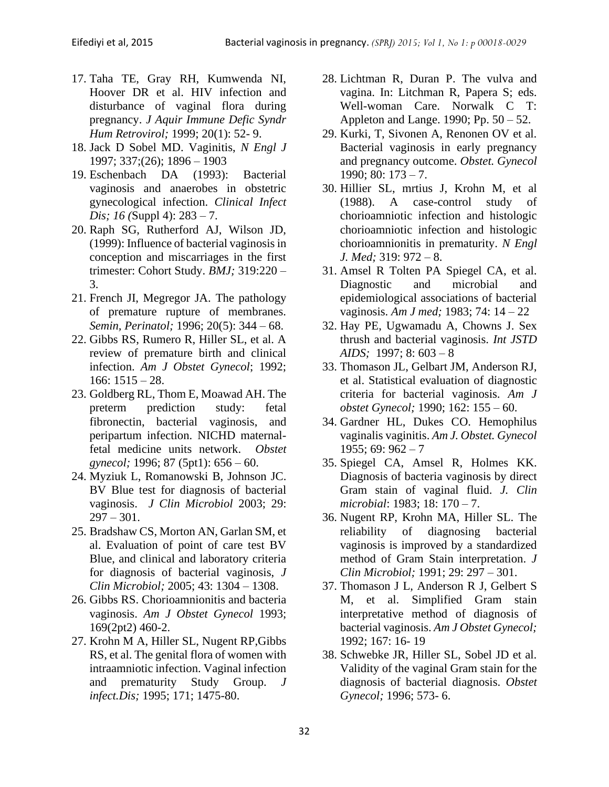- 17. Taha TE, Gray RH, Kumwenda NI, Hoover DR et al. HIV infection and disturbance of vaginal flora during pregnancy. *J Aquir Immune Defic Syndr Hum Retrovirol;* 1999; 20(1): 52- 9.
- 18. Jack D Sobel MD. Vaginitis, *N Engl J*  1997; 337;(26); 1896 – 1903
- 19. Eschenbach DA (1993): Bacterial vaginosis and anaerobes in obstetric gynecological infection. *Clinical Infect Dis; 16 (*Suppl 4): 283 – 7.
- 20. Raph SG, Rutherford AJ, Wilson JD, (1999): Influence of bacterial vaginosis in conception and miscarriages in the first trimester: Cohort Study. *BMJ;* 319:220 – 3.
- 21. French JI, Megregor JA. The pathology of premature rupture of membranes. *Semin, Perinatol;* 1996; 20(5): 344 – 68.
- 22. Gibbs RS, Rumero R, Hiller SL, et al. A review of premature birth and clinical infection. *Am J Obstet Gynecol*; 1992; 166: 1515 – 28.
- 23. Goldberg RL, Thom E, Moawad AH. The preterm prediction study: fetal fibronectin, bacterial vaginosis, and peripartum infection. NICHD maternalfetal medicine units network. *Obstet gynecol;* 1996; 87 (5pt1): 656 – 60.
- 24. Myziuk L, Romanowski B, Johnson JC. BV Blue test for diagnosis of bacterial vaginosis. *J Clin Microbiol* 2003; 29:  $297 - 301$ .
- 25. Bradshaw CS, Morton AN, Garlan SM, et al. Evaluation of point of care test BV Blue, and clinical and laboratory criteria for diagnosis of bacterial vaginosis, *J Clin Microbiol;* 2005; 43: 1304 – 1308.
- 26. Gibbs RS. Chorioamnionitis and bacteria vaginosis. *Am J Obstet Gynecol* 1993; 169(2pt2) 460-2.
- 27. Krohn M A, Hiller SL, Nugent RP,Gibbs RS, et al. The genital flora of women with intraamniotic infection. Vaginal infection and prematurity Study Group. *J infect.Dis;* 1995; 171; 1475-80.
- 28. Lichtman R, Duran P. The vulva and vagina. In: Litchman R, Papera S; eds. Well-woman Care. Norwalk C T: Appleton and Lange. 1990; Pp. 50 – 52.
- 29. Kurki, T, Sivonen A, Renonen OV et al. Bacterial vaginosis in early pregnancy and pregnancy outcome. *Obstet. Gynecol*  1990; 80: 173 – 7.
- 30. Hillier SL, mrtius J, Krohn M, et al (1988). A case-control study of chorioamniotic infection and histologic chorioamniotic infection and histologic chorioamnionitis in prematurity. *N Engl J. Med;* 319: 972 – 8.
- 31. Amsel R Tolten PA Spiegel CA, et al. Diagnostic and microbial and epidemiological associations of bacterial vaginosis. *Am J med;* 1983; 74: 14 – 22
- 32. Hay PE, Ugwamadu A, Chowns J. Sex thrush and bacterial vaginosis. *Int JSTD AIDS;* 1997; 8: 603 – 8
- 33. Thomason JL, Gelbart JM, Anderson RJ, et al. Statistical evaluation of diagnostic criteria for bacterial vaginosis. *Am J obstet Gynecol;* 1990; 162: 155 – 60.
- 34. Gardner HL, Dukes CO. Hemophilus vaginalis vaginitis. *Am J. Obstet. Gynecol*   $1955: 69: 962 - 7$
- 35. Spiegel CA, Amsel R, Holmes KK. Diagnosis of bacteria vaginosis by direct Gram stain of vaginal fluid. *J. Clin microbial*: 1983; 18: 170 – 7.
- 36. Nugent RP, Krohn MA, Hiller SL. The reliability of diagnosing bacterial vaginosis is improved by a standardized method of Gram Stain interpretation. *J Clin Microbiol;* 1991; 29: 297 – 301.
- 37. Thomason J L, Anderson R J, Gelbert S M, et al. Simplified Gram stain interpretative method of diagnosis of bacterial vaginosis. *Am J Obstet Gynecol;*  1992; 167: 16- 19
- 38. Schwebke JR, Hiller SL, Sobel JD et al. Validity of the vaginal Gram stain for the diagnosis of bacterial diagnosis. *Obstet Gynecol;* 1996; 573- 6.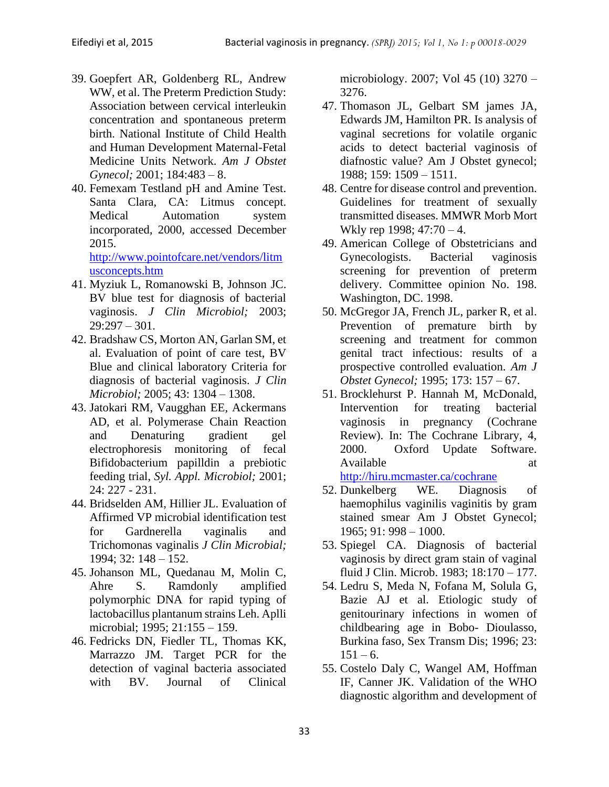- 39. Goepfert AR, Goldenberg RL, Andrew WW, et al. The Preterm Prediction Study: Association between cervical interleukin concentration and spontaneous preterm birth. National Institute of Child Health and Human Development Maternal-Fetal Medicine Units Network. *Am J Obstet Gynecol;* 2001; 184:483 – 8.
- 40. Femexam Testland pH and Amine Test. Santa Clara, CA: Litmus concept. Medical Automation system incorporated, 2000, accessed December 2015.

[http://www.pointofcare.net/vendors/litm](http://www.pointofcare.net/vendors/litmusconcepts.htm) [usconcepts.htm](http://www.pointofcare.net/vendors/litmusconcepts.htm)

- 41. Myziuk L, Romanowski B, Johnson JC. BV blue test for diagnosis of bacterial vaginosis. *J Clin Microbiol;* 2003;  $29:297 - 301.$
- 42. Bradshaw CS, Morton AN, Garlan SM, et al. Evaluation of point of care test, BV Blue and clinical laboratory Criteria for diagnosis of bacterial vaginosis. *J Clin Microbiol;* 2005; 43: 1304 – 1308.
- 43. Jatokari RM, Vaugghan EE, Ackermans AD, et al. Polymerase Chain Reaction and Denaturing gradient gel electrophoresis monitoring of fecal Bifidobacterium papilldin a prebiotic feeding trial, *Syl. Appl. Microbiol;* 2001; 24: 227 - 231.
- 44. Bridselden AM, Hillier JL. Evaluation of Affirmed VP microbial identification test for Gardnerella vaginalis and Trichomonas vaginalis *J Clin Microbial;* 1994; 32: 148 – 152.
- 45. Johanson ML, Quedanau M, Molin C, Ahre S. Ramdonly amplified polymorphic DNA for rapid typing of lactobacillus plantanum strains Leh. Aplli microbial; 1995; 21:155 – 159.
- 46. Fedricks DN, Fiedler TL, Thomas KK, Marrazzo JM. Target PCR for the detection of vaginal bacteria associated with BV. Journal of Clinical

microbiology. 2007; Vol 45 (10) 3270 – 3276.

- 47. Thomason JL, Gelbart SM james JA, Edwards JM, Hamilton PR. Is analysis of vaginal secretions for volatile organic acids to detect bacterial vaginosis of diafnostic value? Am J Obstet gynecol; 1988; 159: 1509 – 1511.
- 48. Centre for disease control and prevention. Guidelines for treatment of sexually transmitted diseases. MMWR Morb Mort Wkly rep 1998; 47:70 – 4.
- 49. American College of Obstetricians and Gynecologists. Bacterial vaginosis screening for prevention of preterm delivery. Committee opinion No. 198. Washington, DC. 1998.
- 50. McGregor JA, French JL, parker R, et al. Prevention of premature birth by screening and treatment for common genital tract infectious: results of a prospective controlled evaluation. *Am J Obstet Gynecol;* 1995; 173: 157 – 67.
- 51. Brocklehurst P. Hannah M, McDonald, Intervention for treating bacterial vaginosis in pregnancy (Cochrane Review). In: The Cochrane Library, 4, 2000. Oxford Update Software. Available at a state at a state at a state at a state at a state at a state at a state at a state at a state at  $\alpha$ <http://hiru.mcmaster.ca/cochrane>
- 52. Dunkelberg WE. Diagnosis of haemophilus vaginilis vaginitis by gram stained smear Am J Obstet Gynecol; 1965; 91: 998 – 1000.
- 53. Spiegel CA. Diagnosis of bacterial vaginosis by direct gram stain of vaginal fluid J Clin. Microb. 1983; 18:170 – 177.
- 54. Ledru S, Meda N, Fofana M, Solula G, Bazie AJ et al. Etiologic study of genitourinary infections in women of childbearing age in Bobo- Dioulasso, Burkina faso, Sex Transm Dis; 1996; 23:  $151 - 6.$
- 55. Costelo Daly C, Wangel AM, Hoffman IF, Canner JK. Validation of the WHO diagnostic algorithm and development of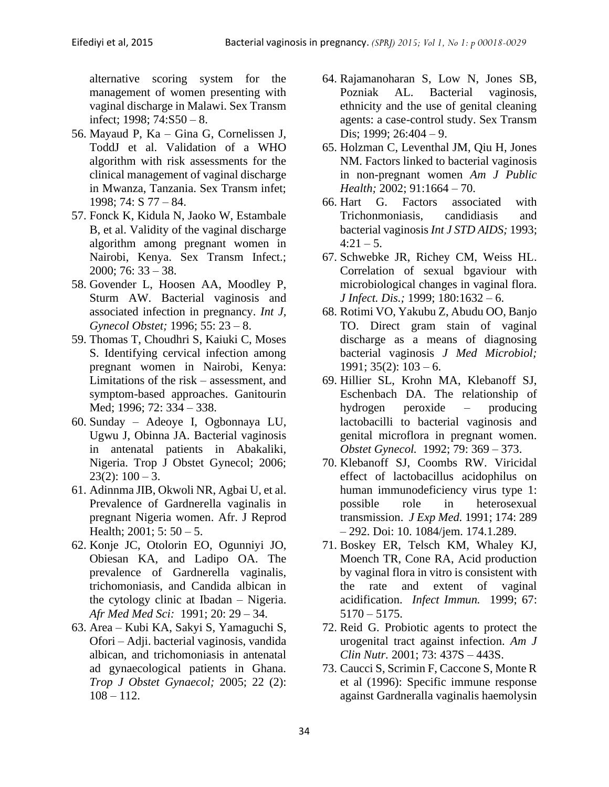alternative scoring system for the management of women presenting with vaginal discharge in Malawi. Sex Transm infect; 1998; 74:S50 – 8.

- 56. Mayaud P, Ka Gina G, Cornelissen J, ToddJ et al. Validation of a WHO algorithm with risk assessments for the clinical management of vaginal discharge in Mwanza, Tanzania. Sex Transm infet; 1998; 74: S 77 – 84.
- 57. Fonck K, Kidula N, Jaoko W, Estambale B, et al. Validity of the vaginal discharge algorithm among pregnant women in Nairobi, Kenya. Sex Transm Infect.; 2000; 76: 33 – 38.
- 58. Govender L, Hoosen AA, Moodley P, Sturm AW. Bacterial vaginosis and associated infection in pregnancy. *Int J, Gynecol Obstet;* 1996; 55: 23 – 8.
- 59. Thomas T, Choudhri S, Kaiuki C, Moses S. Identifying cervical infection among pregnant women in Nairobi, Kenya: Limitations of the risk – assessment, and symptom-based approaches. Ganitourin Med; 1996; 72: 334 – 338.
- 60. Sunday Adeoye I, Ogbonnaya LU, Ugwu J, Obinna JA. Bacterial vaginosis in antenatal patients in Abakaliki, Nigeria. Trop J Obstet Gynecol; 2006;  $23(2): 100 - 3.$
- 61. Adinnma JIB, Okwoli NR, Agbai U, et al. Prevalence of Gardnerella vaginalis in pregnant Nigeria women. Afr. J Reprod Health;  $2001$ ;  $5:50 - 5$ .
- 62. Konje JC, Otolorin EO, Ogunniyi JO, Obiesan KA, and Ladipo OA. The prevalence of Gardnerella vaginalis, trichomoniasis, and Candida albican in the cytology clinic at Ibadan – Nigeria. *Afr Med Med Sci:* 1991; 20: 29 – 34.
- 63. Area Kubi KA, Sakyi S, Yamaguchi S, Ofori – Adji. bacterial vaginosis, vandida albican, and trichomoniasis in antenatal ad gynaecological patients in Ghana. *Trop J Obstet Gynaecol;* 2005; 22 (2):  $108 - 112.$
- 64. Rajamanoharan S, Low N, Jones SB, Pozniak AL. Bacterial vaginosis, ethnicity and the use of genital cleaning agents: a case-control study. Sex Transm Dis; 1999; 26:404 – 9.
- 65. Holzman C, Leventhal JM, Qiu H, Jones NM. Factors linked to bacterial vaginosis in non-pregnant women *Am J Public Health;* 2002; 91:1664 – 70.
- 66. Hart G. Factors associated with Trichonmoniasis, candidiasis and bacterial vaginosis *Int J STD AIDS;* 1993;  $4:21 - 5$ .
- 67. Schwebke JR, Richey CM, Weiss HL. Correlation of sexual bgaviour with microbiological changes in vaginal flora. *J Infect. Dis.;* 1999; 180:1632 – 6.
- 68. Rotimi VO, Yakubu Z, Abudu OO, Banjo TO. Direct gram stain of vaginal discharge as a means of diagnosing bacterial vaginosis *J Med Microbiol;*   $1991$ ;  $35(2)$ :  $103 - 6$ .
- 69. Hillier SL, Krohn MA, Klebanoff SJ, Eschenbach DA. The relationship of hydrogen peroxide – producing lactobacilli to bacterial vaginosis and genital microflora in pregnant women. *Obstet Gynecol.* 1992; 79: 369 – 373.
- 70. Klebanoff SJ, Coombs RW. Viricidal effect of lactobacillus acidophilus on human immunodeficiency virus type 1: possible role in heterosexual transmission. *J Exp Med.* 1991; 174: 289 – 292. Doi: 10. 1084/jem. 174.1.289.
- 71. Boskey ER, Telsch KM, Whaley KJ, Moench TR, Cone RA, Acid production by vaginal flora in vitro is consistent with the rate and extent of vaginal acidification. *Infect Immun.* 1999; 67: 5170 – 5175.
- 72. Reid G. Probiotic agents to protect the urogenital tract against infection. *Am J Clin Nutr.* 2001; 73: 437S – 443S.
- 73. Caucci S, Scrimin F, Caccone S, Monte R et al (1996): Specific immune response against Gardneralla vaginalis haemolysin